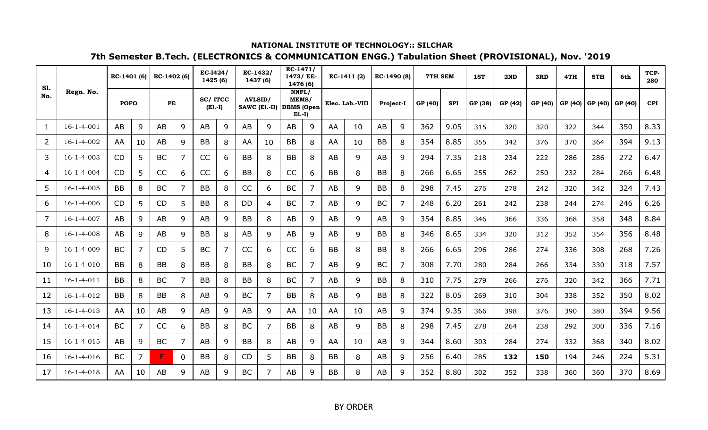| <b>S1.</b>     |                    | EC-1401 (6) |                | EC-1402 (6) |                | <b>EC-I424/</b><br>1425(6) |   | $EC-1432/$     | 1437 (6)                 | $EC-1471/$<br>1473/ EE-<br>1476 (6) |    |           | $EC-1411(2)$    | EC-1490 (8) |                | 7TH SEM |            | 1ST     | 2ND     | 3RD     | 4TH     | 5TH     | 6th     | TCP-<br>280 |
|----------------|--------------------|-------------|----------------|-------------|----------------|----------------------------|---|----------------|--------------------------|-------------------------------------|----|-----------|-----------------|-------------|----------------|---------|------------|---------|---------|---------|---------|---------|---------|-------------|
| No.            | Regn. No.          | <b>POFO</b> |                | PE          |                | SC/ITCC<br>$(E1.-I)$       |   | <b>AVLSID/</b> | SAWC (El.-II) DBMS (Open | NNFL/<br>MEMS/<br>$E1.-I)$          |    |           | Elec. Lab.-VIII |             | Project-I      | GP (40) | <b>SPI</b> | GP (38) | GP (42) | GP (40) | GP (40) | GP (40) | GP (40) | <b>CPI</b>  |
| 1              | $16 - 1 - 4 - 001$ | AB          | 9              | AB          | 9              | AB                         | 9 | AB             | 9                        | AB                                  | 9  | AA        | 10              | AB          | 9              | 362     | 9.05       | 315     | 320     | 320     | 322     | 344     | 350     | 8.33        |
| $\overline{2}$ | 16-1-4-002         | AA          | 10             | AB          | 9              | <b>BB</b>                  | 8 | AA             | 10                       | <b>BB</b>                           | 8  | AA        | 10              | <b>BB</b>   | 8              | 354     | 8.85       | 355     | 342     | 376     | 370     | 364     | 394     | 9.13        |
| 3              | $16 - 1 - 4 - 003$ | CD          | 5              | <b>BC</b>   | $\overline{7}$ | CC                         | 6 | <b>BB</b>      | 8                        | <b>BB</b>                           | 8  | AB        | 9               | AB          | 9              | 294     | 7.35       | 218     | 234     | 222     | 286     | 286     | 272     | 6.47        |
| 4              | $16 - 1 - 4 - 004$ | <b>CD</b>   | 5              | CC          | 6              | CC                         | 6 | <b>BB</b>      | 8                        | CC                                  | 6  | <b>BB</b> | 8               | <b>BB</b>   | 8              | 266     | 6.65       | 255     | 262     | 250     | 232     | 284     | 266     | 6.48        |
| 5              | $16 - 1 - 4 - 005$ | <b>BB</b>   | 8              | BC          | 7              | <b>BB</b>                  | 8 | CC             | 6                        | <b>BC</b>                           |    | AB        | 9               | <b>BB</b>   | 8              | 298     | 7.45       | 276     | 278     | 242     | 320     | 342     | 324     | 7.43        |
| 6              | $16 - 1 - 4 - 006$ | <b>CD</b>   | 5              | CD          | 5              | <b>BB</b>                  | 8 | <b>DD</b>      | 4                        | <b>BC</b>                           |    | AB        | 9               | <b>BC</b>   | $\overline{7}$ | 248     | 6.20       | 261     | 242     | 238     | 244     | 274     | 246     | 6.26        |
| $\overline{7}$ | $16 - 1 - 4 - 007$ | AB          | 9              | AB          | 9              | AB                         | 9 | <b>BB</b>      | 8                        | AB                                  | 9  | AB        | 9               | AB          | 9              | 354     | 8.85       | 346     | 366     | 336     | 368     | 358     | 348     | 8.84        |
| 8              | $16 - 1 - 4 - 008$ | AB          | 9              | AB          | 9              | <b>BB</b>                  | 8 | AB             | 9                        | AB                                  | 9  | AB        | 9               | <b>BB</b>   | 8              | 346     | 8.65       | 334     | 320     | 312     | 352     | 354     | 356     | 8.48        |
| 9              | $16 - 1 - 4 - 009$ | <b>BC</b>   | 7              | CD          | 5              | <b>BC</b>                  | 7 | CC             | 6                        | CC                                  | 6  | <b>BB</b> | 8               | <b>BB</b>   | 8              | 266     | 6.65       | 296     | 286     | 274     | 336     | 308     | 268     | 7.26        |
| 10             | $16 - 1 - 4 - 010$ | <b>BB</b>   | 8              | <b>BB</b>   | 8              | <b>BB</b>                  | 8 | <b>BB</b>      | 8                        | <b>BC</b>                           | 7  | AB        | 9               | <b>BC</b>   | 7              | 308     | 7.70       | 280     | 284     | 266     | 334     | 330     | 318     | 7.57        |
| 11             | $16 - 1 - 4 - 011$ | BB          | 8              | <b>BC</b>   | 7              | <b>BB</b>                  | 8 | <b>BB</b>      | 8                        | <b>BC</b>                           | 7  | AB        | 9               | <b>BB</b>   | 8              | 310     | 7.75       | 279     | 266     | 276     | 320     | 342     | 366     | 7.71        |
| 12             | $16 - 1 - 4 - 012$ | <b>BB</b>   | 8              | <b>BB</b>   | 8              | AB                         | 9 | <b>BC</b>      | 7                        | <b>BB</b>                           | 8  | AB        | 9               | <b>BB</b>   | 8              | 322     | 8.05       | 269     | 310     | 304     | 338     | 352     | 350     | 8.02        |
| 13             | $16 - 1 - 4 - 013$ | AA          | 10             | AB          | 9              | AB                         | 9 | AB             | 9                        | AA                                  | 10 | AA        | 10              | AB          | 9              | 374     | 9.35       | 366     | 398     | 376     | 390     | 380     | 394     | 9.56        |
| 14             | $16 - 1 - 4 - 014$ | <b>BC</b>   | $\overline{7}$ | CC          | 6              | <b>BB</b>                  | 8 | <b>BC</b>      | $\overline{7}$           | <b>BB</b>                           | 8  | AB        | 9               | <b>BB</b>   | 8              | 298     | 7.45       | 278     | 264     | 238     | 292     | 300     | 336     | 7.16        |
| 15             | $16 - 1 - 4 - 015$ | AB          | 9              | <b>BC</b>   | 7              | AB                         | 9 | <b>BB</b>      | 8                        | AB                                  | 9  | AA        | 10              | AB          | $\mathsf{q}$   | 344     | 8.60       | 303     | 284     | 274     | 332     | 368     | 340     | 8.02        |
| 16             | $16 - 1 - 4 - 016$ | <b>BC</b>   | 7              | F.          | $\Omega$       | <b>BB</b>                  | 8 | <b>CD</b>      | 5                        | <b>BB</b>                           | 8  | <b>BB</b> | 8               | AB          | 9              | 256     | 6.40       | 285     | 132     | 150     | 194     | 246     | 224     | 5.31        |
| 17             | $16 - 1 - 4 - 018$ | AA          | 10             | AB          | 9              | <b>AB</b>                  | 9 | <b>BC</b>      | 7                        | AB                                  | q  | <b>BB</b> | 8               | AB          | 9              | 352     | 8.80       | 302     | 352     | 338     | 360     | 360     | 370     | 8.69        |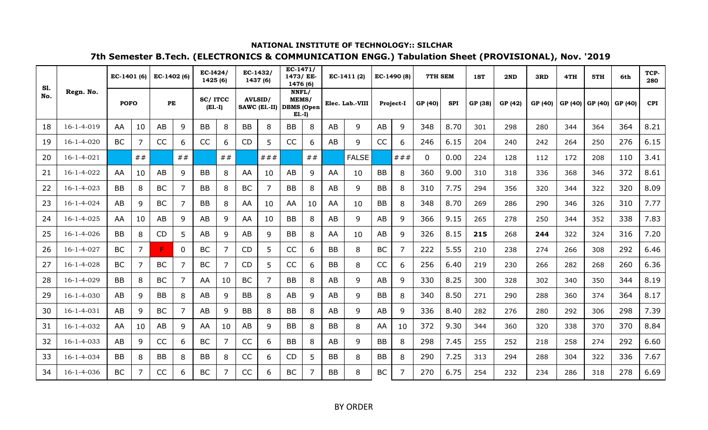| <b>S1.</b> |                    | EC-1401 (6) |                | $EC-1402(6)$ |                | <b>EC-I424/</b><br>1425 (6) |    |           | $EC-1432/$<br>1437 (6)                     | $EC-1471/$<br>1473/ EE-<br>1476 (6) |    |           | $EC-1411(2)$    |           | EC-1490 (8)      | 7TH SEM     |            | 1ST     | 2ND     | 3RD     | 4TH     | 5TH     | 6th     | TCP-<br>280 |
|------------|--------------------|-------------|----------------|--------------|----------------|-----------------------------|----|-----------|--------------------------------------------|-------------------------------------|----|-----------|-----------------|-----------|------------------|-------------|------------|---------|---------|---------|---------|---------|---------|-------------|
| No.        | Regn. No.          | <b>POFO</b> |                | PE           |                | <b>SC/ITCC</b><br>$(E1.-I)$ |    |           | <b>AVLSID/</b><br>SAWC (El.-II) DBMS (Open | NNFL/<br>MEMS/<br>$E1.-I)$          |    |           | Elec. Lab.-VIII |           | <b>Project-I</b> | GP (40)     | <b>SPI</b> | GP (38) | GP (42) | GP (40) | GP (40) | GP (40) | GP (40) | <b>CPI</b>  |
| 18         | $16 - 1 - 4 - 019$ | AA          | 10             | AB           | 9              | <b>BB</b>                   | 8  | <b>BB</b> | 8                                          | <b>BB</b>                           | 8  | AB        | 9               | AB        | 9                | 348         | 8.70       | 301     | 298     | 280     | 344     | 364     | 364     | 8.21        |
| 19         | $16 - 1 - 4 - 020$ | <b>BC</b>   | 7              | CC           | 6              | CC                          | 6  | <b>CD</b> | 5                                          | CC                                  | 6  | AB        | 9               | CC        | 6                | 246         | 6.15       | 204     | 240     | 242     | 264     | 250     | 276     | 6.15        |
| 20         | $16 - 1 - 4 - 021$ |             | ##             |              | ##             |                             | ## |           | ###                                        |                                     | ## |           | <b>FALSE</b>    |           | ###              | $\mathbf 0$ | 0.00       | 224     | 128     | 112     | 172     | 208     | 110     | 3.41        |
| 21         | 16-1-4-022         | AA          | 10             | AB           | 9              | <b>BB</b>                   | 8  | AA        | 10                                         | AB                                  | 9  | AA        | 10              | <b>BB</b> | 8                | 360         | 9.00       | 310     | 318     | 336     | 368     | 346     | 372     | 8.61        |
| 22         | $16 - 1 - 4 - 023$ | <b>BB</b>   | 8              | <b>BC</b>    | $\overline{7}$ | <b>BB</b>                   | 8  | <b>BC</b> | 7                                          | <b>BB</b>                           | 8  | AB        | 9               | <b>BB</b> | 8                | 310         | 7.75       | 294     | 356     | 320     | 344     | 322     | 320     | 8.09        |
| 23         | $16 - 1 - 4 - 024$ | AB          | 9              | <b>BC</b>    | $\overline{7}$ | <b>BB</b>                   | 8  | AA        | 10                                         | AA                                  | 10 | AA        | 10              | <b>BB</b> | 8                | 348         | 8.70       | 269     | 286     | 290     | 346     | 326     | 310     | 7.77        |
| 24         | $16 - 1 - 4 - 025$ | AA          | 10             | AB           | 9              | AB                          | 9  | AA        | 10                                         | <b>BB</b>                           | 8  | AB        | 9               | AB        | 9                | 366         | 9.15       | 265     | 278     | 250     | 344     | 352     | 338     | 7.83        |
| 25         | $16 - 1 - 4 - 026$ | BB          | 8              | CD           | 5              | AB                          | 9  | AB        | 9                                          | BB                                  | 8  | AA        | 10              | AB        | 9                | 326         | 8.15       | 215     | 268     | 244     | 322     | 324     | 316     | 7.20        |
| 26         | $16 - 1 - 4 - 027$ | <b>BC</b>   | 7              | F.           | $\Omega$       | <b>BC</b>                   | 7  | CD        | 5                                          | CC                                  | 6  | <b>BB</b> | 8               | <b>BC</b> | $\overline{7}$   | 222         | 5.55       | 210     | 238     | 274     | 266     | 308     | 292     | 6.46        |
| 27         | $16 - 1 - 4 - 028$ | <b>BC</b>   | 7              | <b>BC</b>    | 7              | <b>BC</b>                   | 7  | <b>CD</b> | 5                                          | <b>CC</b>                           | 6  | <b>BB</b> | 8               | CC        | 6                | 256         | 6.40       | 219     | 230     | 266     | 282     | 268     | 260     | 6.36        |
| 28         | $16 - 1 - 4 - 029$ | BB          | 8              | <b>BC</b>    | 7              | AA                          | 10 | <b>BC</b> | 7                                          | <b>BB</b>                           | 8  | AB        | 9               | AB        | 9                | 330         | 8.25       | 300     | 328     | 302     | 340     | 350     | 344     | 8.19        |
| 29         | $16 - 1 - 4 - 030$ | AB          | 9              | <b>BB</b>    | 8              | AB                          | 9  | <b>BB</b> | 8                                          | AB                                  | 9  | AB        | 9               | <b>BB</b> | 8                | 340         | 8.50       | 271     | 290     | 288     | 360     | 374     | 364     | 8.17        |
| 30         | $16 - 1 - 4 - 031$ | AB          | 9              | <b>BC</b>    | $\overline{7}$ | AB                          | 9  | <b>BB</b> | 8                                          | <b>BB</b>                           | 8  | AB        | 9               | AB        | 9                | 336         | 8.40       | 282     | 276     | 280     | 292     | 306     | 298     | 7.39        |
| 31         | 16-1-4-032         | AA          | 10             | AB           | 9              | AA                          | 10 | AB        | 9                                          | <b>BB</b>                           | 8  | <b>BB</b> | 8               | AA        | 10               | 372         | 9.30       | 344     | 360     | 320     | 338     | 370     | 370     | 8.84        |
| 32         | $16 - 1 - 4 - 033$ | AB          | 9              | CC           | 6              | <b>BC</b>                   | 7  | CC        | 6                                          | <b>BB</b>                           | 8  | AB        | 9               | <b>BB</b> | 8                | 298         | 7.45       | 255     | 252     | 218     | 258     | 274     | 292     | 6.60        |
| 33         | $16 - 1 - 4 - 034$ | <b>BB</b>   | 8              | <b>BB</b>    | 8              | <b>BB</b>                   | 8  | CC        | 6                                          | <b>CD</b>                           | 5  | <b>BB</b> | 8               | <b>BB</b> | 8                | 290         | 7.25       | 313     | 294     | 288     | 304     | 322     | 336     | 7.67        |
| 34         | $16 - 1 - 4 - 036$ | <b>BC</b>   | $\overline{7}$ | <b>CC</b>    | 6              | <b>BC</b>                   | 7  | <b>CC</b> | 6                                          | <b>BC</b>                           |    | <b>BB</b> | 8               | <b>BC</b> | $\overline{7}$   | 270         | 6.75       | 254     | 232     | 234     | 286     | 318     | 278     | 6.69        |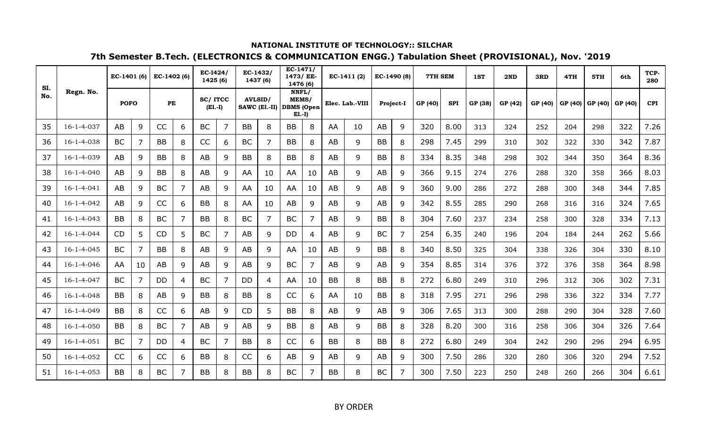| <b>S1.</b> |                    | EC-1401 (6) |                | EC-1402 (6) |                | EC-I424/<br>1425(6)  |   | EC-1432/       | 1437 (6)                 | $EC-1471/$<br>1473/ EE-<br>1476 (6) |    |           | EC-1411 (2)     |           | EC-1490 (8) | 7TH SEM |            | 1ST     | 2ND     | 3RD     | 4TH     | 5TH     | 6th     | TCP-<br>280 |
|------------|--------------------|-------------|----------------|-------------|----------------|----------------------|---|----------------|--------------------------|-------------------------------------|----|-----------|-----------------|-----------|-------------|---------|------------|---------|---------|---------|---------|---------|---------|-------------|
| No.        | Regn. No.          | <b>POFO</b> |                | PE          |                | SC/ITCC<br>$(E1.-I)$ |   | <b>AVLSID/</b> | SAWC (El.-II) DBMS (Open | NNFL/<br>MEMS/<br>$E1.-I)$          |    |           | Elec. Lab.-VIII |           | Project-I   | GP (40) | <b>SPI</b> | GP (38) | GP (42) | GP (40) | GP (40) | GP (40) | GP (40) | <b>CPI</b>  |
| 35         | $16 - 1 - 4 - 037$ | AB          | 9              | CC          | 6              | <b>BC</b>            | 7 | <b>BB</b>      | 8                        | BB                                  | 8  | AA        | 10              | AB        | 9           | 320     | 8.00       | 313     | 324     | 252     | 204     | 298     | 322     | 7.26        |
| 36         | $16 - 1 - 4 - 038$ | <b>BC</b>   | 7              | <b>BB</b>   | 8              | CC                   | 6 | BC             |                          | BB                                  | 8  | AB        | 9               | <b>BB</b> | 8           | 298     | 7.45       | 299     | 310     | 302     | 322     | 330     | 342     | 7.87        |
| 37         | 16-1-4-039         | AB          | 9              | BB          | 8              | AB                   | 9 | <b>BB</b>      | 8                        | <b>BB</b>                           | 8  | AB        | 9               | <b>BB</b> | 8           | 334     | 8.35       | 348     | 298     | 302     | 344     | 350     | 364     | 8.36        |
| 38         | $16 - 1 - 4 - 040$ | AB          | 9              | BB          | 8              | AB                   | 9 | AA             | 10                       | AA                                  | 10 | AB        | 9               | AB        | 9           | 366     | 9.15       | 274     | 276     | 288     | 320     | 358     | 366     | 8.03        |
| 39         | $16 - 1 - 4 - 041$ | AB          | 9              | BC          | 7              | AB                   | 9 | AA             | 10                       | AA                                  | 10 | AB        | 9               | AB        | 9           | 360     | 9.00       | 286     | 272     | 288     | 300     | 348     | 344     | 7.85        |
| 40         | 16-1-4-042         | AB          | 9              | CC          | 6              | <b>BB</b>            | 8 | AA             | 10                       | AB                                  | 9  | AB        | 9               | AB        | 9           | 342     | 8.55       | 285     | 290     | 268     | 316     | 316     | 324     | 7.65        |
| 41         | $16 - 1 - 4 - 043$ | BB          | 8              | <b>BC</b>   | 7              | <b>BB</b>            | 8 | BC             | 7                        | BC                                  | 7  | AB        | 9               | <b>BB</b> | 8           | 304     | 7.60       | 237     | 234     | 258     | 300     | 328     | 334     | 7.13        |
| 42         | $16 - 1 - 4 - 044$ | CD          | 5              | <b>CD</b>   | 5              | BC                   | 7 | AB             | 9                        | DD                                  | 4  | AB        | 9               | BC        | 7           | 254     | 6.35       | 240     | 196     | 204     | 184     | 244     | 262     | 5.66        |
| 43         | $16 - 1 - 4 - 045$ | <b>BC</b>   | 7              | <b>BB</b>   | 8              | AB                   | 9 | AB             | 9                        | AA                                  | 10 | AB        | 9               | <b>BB</b> | 8           | 340     | 8.50       | 325     | 304     | 338     | 326     | 304     | 330     | 8.10        |
| 44         | $16 - 1 - 4 - 046$ | AA          | 10             | AB          | 9              | AB                   | 9 | AB             | 9                        | BC                                  | 7  | AB        | 9               | AB        | 9           | 354     | 8.85       | 314     | 376     | 372     | 376     | 358     | 364     | 8.98        |
| 45         | $16 - 1 - 4 - 047$ | BC          | $\overline{7}$ | DD          | 4              | <b>BC</b>            | 7 | DD             | 4                        | AA                                  | 10 | <b>BB</b> | 8               | <b>BB</b> | 8           | 272     | 6.80       | 249     | 310     | 296     | 312     | 306     | 302     | 7.31        |
| 46         | $16 - 1 - 4 - 048$ | BB          | 8              | AB          | 9              | <b>BB</b>            | 8 | <b>BB</b>      | 8                        | CC                                  | 6  | AA        | 10              | <b>BB</b> | 8           | 318     | 7.95       | 271     | 296     | 298     | 336     | 322     | 334     | 7.77        |
| 47         | $16 - 1 - 4 - 049$ | BB          | 8              | CC          | 6              | AB                   | 9 | <b>CD</b>      | 5                        | BB                                  | 8  | AB        | 9               | AB        | 9           | 306     | 7.65       | 313     | 300     | 288     | 290     | 304     | 328     | 7.60        |
| 48         | $16 - 1 - 4 - 050$ | BB          | 8              | BC          | $\overline{7}$ | AB                   | 9 | AB             | 9                        | <b>BB</b>                           | 8  | AB        | 9               | <b>BB</b> | 8           | 328     | 8.20       | 300     | 316     | 258     | 306     | 304     | 326     | 7.64        |
| 49         | $16 - 1 - 4 - 051$ | BC          | 7              | DD          | 4              | <b>BC</b>            | 7 | <b>BB</b>      | 8                        | CC                                  | 6  | BB        | 8               | <b>BB</b> | 8           | 272     | 6.80       | 249     | 304     | 242     | 290     | 296     | 294     | 6.95        |
| 50         | 16-1-4-052         | CC          | 6              | CC          | 6              | <b>BB</b>            | 8 | <b>CC</b>      | 6                        | AB                                  | q  | AB        | 9               | AB        | 9           | 300     | 7.50       | 286     | 320     | 280     | 306     | 320     | 294     | 7.52        |
| 51         | $16 - 1 - 4 - 053$ | <b>BB</b>   | 8              | <b>BC</b>   | 7              | <b>BB</b>            | 8 | BB             | 8                        | <b>BC</b>                           |    | <b>BB</b> | 8               | <b>BC</b> | 7           | 300     | 7.50       | 223     | 250     | 248     | 260     | 266     | 304     | 6.61        |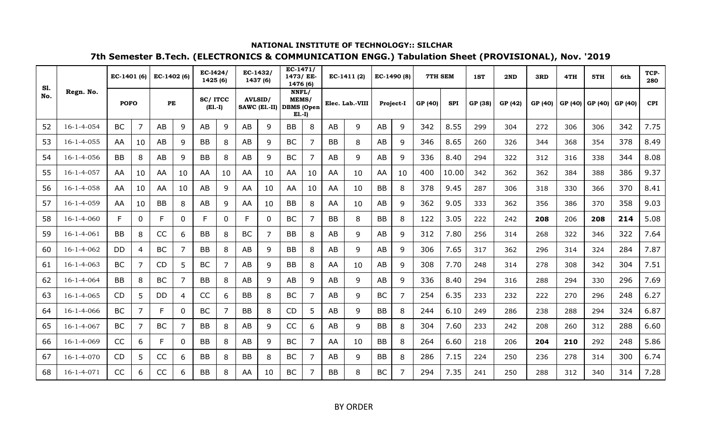| <b>S1.</b> |                    | EC-1401 (6) |                | EC-1402 (6) |                | EC-I424/<br>1425(6)  |          | EC-1432/       | 1437 (6)                 | $EC-1471/$<br>1473/ EE-<br>1476 (6) |                |           | EC-1411 (2)     |           | EC-1490 (8)      | 7TH SEM |            | 1ST     | 2ND     | 3RD     | 4TH     | 5TH     | 6th     | TCP-<br>280 |
|------------|--------------------|-------------|----------------|-------------|----------------|----------------------|----------|----------------|--------------------------|-------------------------------------|----------------|-----------|-----------------|-----------|------------------|---------|------------|---------|---------|---------|---------|---------|---------|-------------|
| No.        | Regn. No.          | <b>POFO</b> |                | PE          |                | SC/ITCC<br>$(E1.-I)$ |          | <b>AVLSID/</b> | SAWC (El.-II) DBMS (Open | NNFL/<br>MEMS/<br>$E1.-I)$          |                |           | Elec. Lab.-VIII |           | <b>Project-I</b> | GP (40) | <b>SPI</b> | GP (38) | GP (42) | GP (40) | GP (40) | GP (40) | GP (40) | <b>CPI</b>  |
| 52         | $16 - 1 - 4 - 054$ | <b>BC</b>   | 7              | AB          | 9              | AB                   | 9        | AB             | 9                        | <b>BB</b>                           | 8              | AB        | 9               | <b>AB</b> | 9                | 342     | 8.55       | 299     | 304     | 272     | 306     | 306     | 342     | 7.75        |
| 53         | $16 - 1 - 4 - 055$ | AA          | 10             | AB          | 9              | <b>BB</b>            | 8        | AB             | 9                        | <b>BC</b>                           | 7              | <b>BB</b> | 8               | AB        | 9                | 346     | 8.65       | 260     | 326     | 344     | 368     | 354     | 378     | 8.49        |
| 54         | $16 - 1 - 4 - 056$ | <b>BB</b>   | 8              | AB          | 9              | <b>BB</b>            | 8        | AB             | 9                        | <b>BC</b>                           | $\overline{7}$ | AB        | 9               | AB        | 9                | 336     | 8.40       | 294     | 322     | 312     | 316     | 338     | 344     | 8.08        |
| 55         | $16 - 1 - 4 - 057$ | AA          | 10             | AA          | 10             | AA                   | 10       | AA             | 10                       | AA                                  | 10             | AA        | 10              | AA        | 10               | 400     | 10.00      | 342     | 362     | 362     | 384     | 388     | 386     | 9.37        |
| 56         | $16 - 1 - 4 - 058$ | AA          | 10             | AA          | 10             | AB                   | 9        | AA             | 10                       | AA                                  | 10             | AA        | 10              | <b>BB</b> | 8                | 378     | 9.45       | 287     | 306     | 318     | 330     | 366     | 370     | 8.41        |
| 57         | $16-1-4-059$       | AA          | 10             | <b>BB</b>   | 8              | AB                   | 9        | AA             | 10                       | <b>BB</b>                           | 8              | AA        | 10              | AB        | 9                | 362     | 9.05       | 333     | 362     | 356     | 386     | 370     | 358     | 9.03        |
| 58         | $16 - 1 - 4 - 060$ | F.          | $\Omega$       | E           | $\Omega$       | F                    | $\Omega$ | F              | $\Omega$                 | <b>BC</b>                           | 7              | <b>BB</b> | 8               | <b>BB</b> | 8                | 122     | 3.05       | 222     | 242     | 208     | 206     | 208     | 214     | 5.08        |
| 59         | $16 - 1 - 4 - 061$ | BB          | 8              | CC          | 6              | <b>BB</b>            | 8        | <b>BC</b>      | 7                        | <b>BB</b>                           | 8              | AB        | 9               | AB        | 9                | 312     | 7.80       | 256     | 314     | 268     | 322     | 346     | 322     | 7.64        |
| 60         | 16-1-4-062         | DD          | 4              | <b>BC</b>   | 7              | <b>BB</b>            | 8        | AB             | 9                        | <b>BB</b>                           | 8              | AB        | 9               | AB        | 9                | 306     | 7.65       | 317     | 362     | 296     | 314     | 324     | 284     | 7.87        |
| 61         | $16-1-4-063$       | <b>BC</b>   | 7              | CD          | 5              | <b>BC</b>            | 7        | AB             | 9                        | <b>BB</b>                           | 8              | AA        | 10              | AB        | 9                | 308     | 7.70       | 248     | 314     | 278     | 308     | 342     | 304     | 7.51        |
| 62         | $16 - 1 - 4 - 064$ | <b>BB</b>   | 8              | <b>BC</b>   | 7              | <b>BB</b>            | 8        | AB             | 9                        | AB                                  | 9              | AB        | 9               | AB        | 9                | 336     | 8.40       | 294     | 316     | 288     | 294     | 330     | 296     | 7.69        |
| 63         | $16 - 1 - 4 - 065$ | CD          | 5              | <b>DD</b>   | $\overline{4}$ | CC                   | 6        | <b>BB</b>      | 8                        | <b>BC</b>                           | 7              | AB        | 9               | <b>BC</b> | $\overline{7}$   | 254     | 6.35       | 233     | 232     | 222     | 270     | 296     | 248     | 6.27        |
| 64         | $16 - 1 - 4 - 066$ | <b>BC</b>   | $\overline{7}$ | F           | $\Omega$       | <b>BC</b>            | 7        | <b>BB</b>      | 8                        | CD                                  | 5              | AB        | 9               | <b>BB</b> | 8                | 244     | 6.10       | 249     | 286     | 238     | 288     | 294     | 324     | 6.87        |
| 65         | $16 - 1 - 4 - 067$ | <b>BC</b>   | 7              | <b>BC</b>   | $\overline{7}$ | <b>BB</b>            | 8        | AB             | 9                        | CC                                  | 6              | AB        | 9               | <b>BB</b> | 8                | 304     | 7.60       | 233     | 242     | 208     | 260     | 312     | 288     | 6.60        |
| 66         | $16 - 1 - 4 - 069$ | CC          | 6              | F.          | $\mathbf{0}$   | <b>BB</b>            | 8        | AB             | 9                        | <b>BC</b>                           | 7              | AA        | 10              | <b>BB</b> | 8                | 264     | 6.60       | 218     | 206     | 204     | 210     | 292     | 248     | 5.86        |
| 67         | $16 - 1 - 4 - 070$ | CD          | 5              | CC          | 6              | <b>BB</b>            | 8        | <b>BB</b>      | 8                        | <b>BC</b>                           | 7              | AB        | 9               | <b>BB</b> | 8                | 286     | 7.15       | 224     | 250     | 236     | 278     | 314     | 300     | 6.74        |
| 68         | $16 - 1 - 4 - 071$ | <b>CC</b>   | 6              | <b>CC</b>   | 6              | <b>BB</b>            | 8        | AA             | 10                       | <b>BC</b>                           | 7              | <b>BB</b> | 8               | <b>BC</b> | $\overline{7}$   | 294     | 7.35       | 241     | 250     | 288     | 312     | 340     | 314     | 7.28        |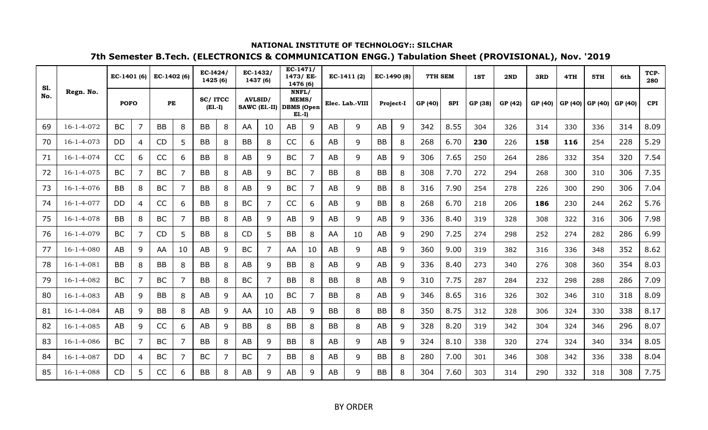| <b>S1.</b> |                    | EC-1401 (6)    |                | $EC-1402(6)$ |                | <b>EC-I424/</b><br>1425(6)  |   | $EC-1432/$ | 1437 (6)                                   | $EC-1471/$<br>1473/ EE-<br>1476 (6) |    |           | $EC-1411(2)$    |           | EC-1490 (8)      | 7TH SEM |            | 1ST     | 2ND     | 3RD     | 4TH     | 5TH     | 6th     | TCP-<br>280 |
|------------|--------------------|----------------|----------------|--------------|----------------|-----------------------------|---|------------|--------------------------------------------|-------------------------------------|----|-----------|-----------------|-----------|------------------|---------|------------|---------|---------|---------|---------|---------|---------|-------------|
| No.        | Regn. No.          | <b>POFO</b>    |                | PE           |                | <b>SC/ITCC</b><br>$(E1.-I)$ |   |            | <b>AVLSID/</b><br>SAWC (El.-II) DBMS (Open | NNFL/<br>MEMS/<br>$E1.-I)$          |    |           | Elec. Lab.-VIII |           | <b>Project-I</b> | GP (40) | <b>SPI</b> | GP (38) | GP (42) | GP (40) | GP (40) | GP (40) | GP (40) | <b>CPI</b>  |
| 69         | $16 - 1 - 4 - 072$ | <b>BC</b>      | 7              | <b>BB</b>    | 8              | <b>BB</b>                   | 8 | AA         | 10                                         | AB                                  | 9  | AB        | 9               | AB        | 9                | 342     | 8.55       | 304     | 326     | 314     | 330     | 336     | 314     | 8.09        |
| 70         | $16 - 1 - 4 - 073$ | DD             | 4              | <b>CD</b>    | 5              | <b>BB</b>                   | 8 | <b>BB</b>  | 8                                          | CC                                  | 6  | AB        | 9               | <b>BB</b> | 8                | 268     | 6.70       | 230     | 226     | 158     | 116     | 254     | 228     | 5.29        |
| 71         | $16 - 1 - 4 - 074$ | CC             | 6              | CC           | 6              | <b>BB</b>                   | 8 | AB         | 9                                          | <b>BC</b>                           | 7  | AB        | 9               | AB        | 9                | 306     | 7.65       | 250     | 264     | 286     | 332     | 354     | 320     | 7.54        |
| 72         | $16 - 1 - 4 - 075$ | <b>BC</b>      | $\overline{7}$ | <b>BC</b>    | 7              | <b>BB</b>                   | 8 | AB         | 9                                          | <b>BC</b>                           | 7  | <b>BB</b> | 8               | <b>BB</b> | 8                | 308     | 7.70       | 272     | 294     | 268     | 300     | 310     | 306     | 7.35        |
| 73         | $16 - 1 - 4 - 076$ | <b>BB</b>      | 8              | <b>BC</b>    | $\overline{7}$ | <b>BB</b>                   | 8 | AB         | 9                                          | <b>BC</b>                           |    | AB        | 9               | <b>BB</b> | 8                | 316     | 7.90       | 254     | 278     | 226     | 300     | 290     | 306     | 7.04        |
| 74         | $16 - 1 - 4 - 077$ | <b>DD</b>      | $\overline{4}$ | CC           | 6              | <b>BB</b>                   | 8 | <b>BC</b>  | 7                                          | <b>CC</b>                           | 6. | AB        | 9               | <b>BB</b> | 8                | 268     | 6.70       | 218     | 206     | 186     | 230     | 244     | 262     | 5.76        |
| 75         | $16 - 1 - 4 - 078$ | <b>BB</b>      | 8              | <b>BC</b>    | 7              | <b>BB</b>                   | 8 | AB         | 9                                          | AB                                  | 9  | AB        | 9               | AB        | 9                | 336     | 8.40       | 319     | 328     | 308     | 322     | 316     | 306     | 7.98        |
| 76         | 16-1-4-079         | BC             | 7              | CD           | 5              | <b>BB</b>                   | 8 | <b>CD</b>  | 5                                          | BB                                  | 8  | AA        | 10              | AB        | 9                | 290     | 7.25       | 274     | 298     | 252     | 274     | 282     | 286     | 6.99        |
| 77         | $16 - 1 - 4 - 080$ | AB             | 9              | AA           | 10             | AB                          | 9 | <b>BC</b>  | 7                                          | AA                                  | 10 | AB        | 9               | AB        | 9                | 360     | 9.00       | 319     | 382     | 316     | 336     | 348     | 352     | 8.62        |
| 78         | $16 - 1 - 4 - 081$ | <b>BB</b>      | 8              | <b>BB</b>    | 8              | <b>BB</b>                   | 8 | AB         | 9                                          | BB                                  | 8  | AB        | 9               | AB        | 9                | 336     | 8.40       | 273     | 340     | 276     | 308     | 360     | 354     | 8.03        |
| 79         | 16-1-4-082         | <b>BC</b>      | $\overline{7}$ | <b>BC</b>    | 7              | <b>BB</b>                   | 8 | <b>BC</b>  | 7                                          | <b>BB</b>                           | 8  | <b>BB</b> | 8               | AB        | 9                | 310     | 7.75       | 287     | 284     | 232     | 298     | 288     | 286     | 7.09        |
| 80         | $16 - 1 - 4 - 083$ | AB             | 9              | <b>BB</b>    | 8              | AB                          | 9 | AA         | 10                                         | <b>BC</b>                           |    | <b>BB</b> | 8               | AB        | 9                | 346     | 8.65       | 316     | 326     | 302     | 346     | 310     | 318     | 8.09        |
| 81         | $16 - 1 - 4 - 084$ | AB             | 9              | <b>BB</b>    | 8              | AB                          | 9 | AA         | 10                                         | AB                                  | 9  | <b>BB</b> | 8               | <b>BB</b> | 8                | 350     | 8.75       | 312     | 328     | 306     | 324     | 330     | 338     | 8.17        |
| 82         | $16 - 1 - 4 - 085$ | AB             | 9              | CC           | 6              | AB                          | 9 | <b>BB</b>  | 8                                          | <b>BB</b>                           | 8  | <b>BB</b> | 8               | AB        | 9                | 328     | 8.20       | 319     | 342     | 304     | 324     | 346     | 296     | 8.07        |
| 83         | $16 - 1 - 4 - 086$ | <b>BC</b>      | $\overline{7}$ | <b>BC</b>    | 7              | <b>BB</b>                   | 8 | AB         | 9                                          | <b>BB</b>                           | 8  | AB        | 9               | AB        | $\mathsf{q}$     | 324     | 8.10       | 338     | 320     | 274     | 324     | 340     | 334     | 8.05        |
| 84         | $16 - 1 - 4 - 087$ | D <sub>D</sub> | 4              | <b>BC</b>    | $\overline{7}$ | <b>BC</b>                   | 7 | <b>BC</b>  | 7                                          | <b>BB</b>                           | 8  | AB        | 9               | <b>BB</b> | 8                | 280     | 7.00       | 301     | 346     | 308     | 342     | 336     | 338     | 8.04        |
| 85         | $16 - 1 - 4 - 088$ | <b>CD</b>      | 5              | <b>CC</b>    | 6              | <b>BB</b>                   | 8 | AB         | 9                                          | AB                                  | q  | AB        | 9               | <b>BB</b> | 8                | 304     | 7.60       | 303     | 314     | 290     | 332     | 318     | 308     | 7.75        |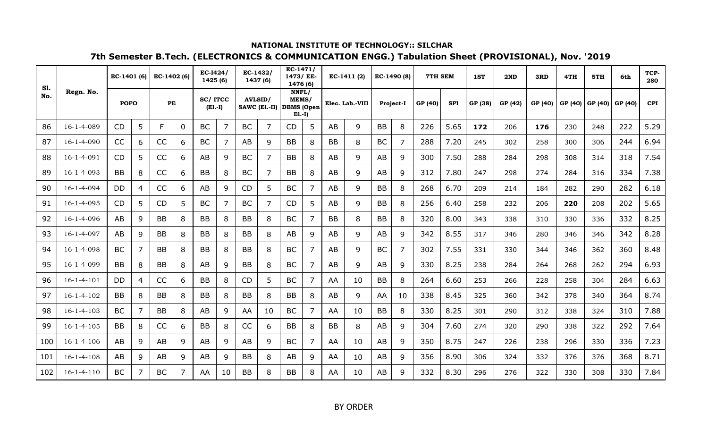| <b>S1.</b> |                    | EC-1401 (6) |                | EC-1402 (6) |          | EC-I424/<br>1425 (6) |    |                | EC-1432/<br>1437 (6)     | $EC-1471/$<br>1473/ EE-<br>1476 (6) |   |           | EC-1411 (2)     | EC-1490 (8) |                  | 7TH SEM |            | 1ST     | 2ND     | 3RD     | 4TH     | 5TH     | 6th     | TCP-<br>280 |
|------------|--------------------|-------------|----------------|-------------|----------|----------------------|----|----------------|--------------------------|-------------------------------------|---|-----------|-----------------|-------------|------------------|---------|------------|---------|---------|---------|---------|---------|---------|-------------|
| No.        | Regn. No.          | <b>POFO</b> |                | PE          |          | SC/ITCC<br>$(E1.-I)$ |    | <b>AVLSID/</b> | SAWC (El.-II) DBMS (Open | NNFL/<br>MEMS/<br>$E1.-I)$          |   |           | Elec. Lab.-VIII |             | <b>Project-I</b> | GP (40) | <b>SPI</b> | GP (38) | GP (42) | GP (40) | GP (40) | GP (40) | GP (40) | <b>CPI</b>  |
| 86         | $16 - 1 - 4 - 089$ | CD          | 5              | F.          | $\Omega$ | <b>BC</b>            | 7  | <b>BC</b>      | 7                        | CD                                  | 5 | AB        | 9               | <b>BB</b>   | 8                | 226     | 5.65       | 172     | 206     | 176     | 230     | 248     | 222     | 5.29        |
| 87         | $16 - 1 - 4 - 090$ | CC          | 6              | CC          | 6        | <b>BC</b>            | 7  | AB             | 9                        | <b>BB</b>                           | 8 | <b>BB</b> | 8               | <b>BC</b>   | $\overline{7}$   | 288     | 7.20       | 245     | 302     | 258     | 300     | 306     | 244     | 6.94        |
| 88         | $16 - 1 - 4 - 091$ | CD          | 5              | CC          | 6        | AB                   | 9  | <b>BC</b>      | 7                        | <b>BB</b>                           | 8 | AB        | 9               | AB          | 9                | 300     | 7.50       | 288     | 284     | 298     | 308     | 314     | 318     | 7.54        |
| 89         | $16 - 1 - 4 - 093$ | <b>BB</b>   | 8              | CC          | 6        | <b>BB</b>            | 8  | <b>BC</b>      | 7                        | <b>BB</b>                           | 8 | AB        | 9               | AB          | 9                | 312     | 7.80       | 247     | 298     | 274     | 284     | 316     | 334     | 7.38        |
| 90         | $16 - 1 - 4 - 094$ | <b>DD</b>   | 4              | CC          | 6        | AB                   | 9  | <b>CD</b>      | 5                        | <b>BC</b>                           | 7 | AB        | 9               | <b>BB</b>   | 8                | 268     | 6.70       | 209     | 214     | 184     | 282     | 290     | 282     | 6.18        |
| 91         | $16 - 1 - 4 - 095$ | CD          | 5              | <b>CD</b>   | 5        | <b>BC</b>            | 7  | <b>BC</b>      | 7                        | <b>CD</b>                           | 5 | AB        | 9               | <b>BB</b>   | 8                | 256     | 6.40       | 258     | 232     | 206     | 220     | 208     | 202     | 5.65        |
| 92         | $16 - 1 - 4 - 096$ | AB          | 9              | <b>BB</b>   | 8        | <b>BB</b>            | 8  | <b>BB</b>      | 8                        | <b>BC</b>                           | 7 | <b>BB</b> | 8               | <b>BB</b>   | 8                | 320     | 8.00       | 343     | 338     | 310     | 330     | 336     | 332     | 8.25        |
| 93         | $16 - 1 - 4 - 097$ | AB          | 9              | <b>BB</b>   | 8        | <b>BB</b>            | 8  | <b>BB</b>      | 8                        | AB                                  | 9 | AB        | 9               | AB          | 9                | 342     | 8.55       | 317     | 346     | 280     | 346     | 346     | 342     | 8.28        |
| 94         | 16-1-4-098         | <b>BC</b>   | 7              | <b>BB</b>   | 8        | <b>BB</b>            | 8  | <b>BB</b>      | 8                        | <b>BC</b>                           | 7 | AB        | 9               | <b>BC</b>   | $\overline{7}$   | 302     | 7.55       | 331     | 330     | 344     | 346     | 362     | 360     | 8.48        |
| 95         | 16-1-4-099         | <b>BB</b>   | 8              | BB          | 8        | AB                   | 9  | <b>BB</b>      | 8                        | <b>BC</b>                           | 7 | AB        | 9               | AB          | 9                | 330     | 8.25       | 238     | 284     | 264     | 268     | 262     | 294     | 6.93        |
| 96         | $16 - 1 - 4 - 101$ | <b>DD</b>   | 4              | CC          | 6        | <b>BB</b>            | 8  | <b>CD</b>      | 5                        | <b>BC</b>                           | 7 | AA        | 10              | <b>BB</b>   | 8                | 264     | 6.60       | 253     | 266     | 228     | 258     | 304     | 284     | 6.63        |
| 97         | $16 - 1 - 4 - 102$ | BB          | 8              | <b>BB</b>   | 8        | <b>BB</b>            | 8  | <b>BB</b>      | 8                        | <b>BB</b>                           | 8 | AB        | 9               | AA          | 10               | 338     | 8.45       | 325     | 360     | 342     | 378     | 340     | 364     | 8.74        |
| 98         | $16 - 1 - 4 - 103$ | <b>BC</b>   | 7              | <b>BB</b>   | 8        | AB                   | 9  | AA             | 10                       | <b>BC</b>                           | 7 | AA        | 10              | <b>BB</b>   | 8                | 330     | 8.25       | 301     | 290     | 312     | 338     | 324     | 310     | 7.88        |
| 99         | $16 - 1 - 4 - 105$ | <b>BB</b>   | 8              | CC          | 6        | <b>BB</b>            | 8  | CC             | 6                        | <b>BB</b>                           | 8 | <b>BB</b> | 8               | AB          | 9                | 304     | 7.60       | 274     | 320     | 290     | 338     | 322     | 292     | 7.64        |
| 100        | $16 - 1 - 4 - 106$ | AB          | 9              | AB          | 9        | AB                   | 9  | AB             | 9                        | <b>BC</b>                           | 7 | AA        | 10              | AB          | $\mathsf{q}$     | 350     | 8.75       | 247     | 226     | 238     | 296     | 330     | 336     | 7.23        |
| 101        | $16 - 1 - 4 - 108$ | AB          | 9              | AB          | 9        | AB                   | 9  | <b>BB</b>      | 8                        | AB                                  | 9 | AA        | 10              | AB          | 9                | 356     | 8.90       | 306     | 324     | 332     | 376     | 376     | 368     | 8.71        |
| 102        | $16 - 1 - 4 - 110$ | <b>BC</b>   | $\overline{7}$ | <b>BC</b>   | 7        | AA                   | 10 | <b>BB</b>      | 8                        | <b>BB</b>                           |   | AA        | 10              | <b>AB</b>   | 9                | 332     | 8.30       | 296     | 276     | 322     | 330     | 308     | 330     | 7.84        |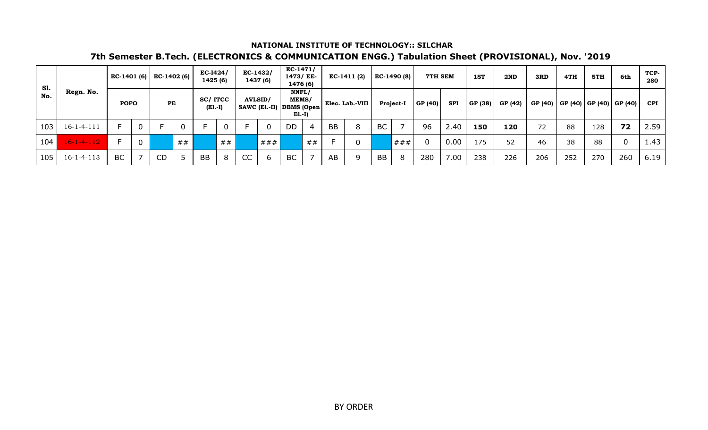| <b>S1.</b> |                    |             |                | EC-1401 (6) EC-1402 (6) |    | <b>EC-I424/</b><br>1425(6) |             |    | $EC-1432/$<br>1437 (6)                       | $EC-1471/$<br>1473/ EE-<br>1476 (6) |    |           | $EC-1411(2)$    |           | EC-1490 (8) | 7TH SEM     |            | 1ST     | 2ND     | 3RD | 4TH | 5TH | 6th                                   | TCP-<br>280 |
|------------|--------------------|-------------|----------------|-------------------------|----|----------------------------|-------------|----|----------------------------------------------|-------------------------------------|----|-----------|-----------------|-----------|-------------|-------------|------------|---------|---------|-----|-----|-----|---------------------------------------|-------------|
| No.        | Regn. No.          | <b>POFO</b> |                | PE                      |    | SC/ITCC<br>$(E1.-I)$       |             |    | <b>AVLSID/</b><br>SAWC (E1.-II)   DBMS (Open | NNFL/<br><b>MEMS/</b><br>$E1.-I)$   |    |           | Elec. Lab.-VIII |           | Project-I   | GP (40)     | <b>SPI</b> | GP (38) | GP (42) |     |     |     | GP (40)   GP (40)   GP (40)   GP (40) | <b>CPI</b>  |
| 103        | $16 - 1 - 4 - 111$ |             | $\overline{0}$ |                         | 0  |                            | $\mathbf 0$ |    |                                              | <b>DD</b>                           |    | <b>BB</b> | 8               | <b>BC</b> |             | 96          | 2.40       | 150     | 120     | 72  | 88  | 128 | 72                                    | 2.59        |
| 104        | $16 - 1 - 4 - 112$ |             | $\overline{0}$ |                         | ## |                            | ##          |    | # # #                                        |                                     | ## |           | $\mathbf 0$     |           | ###         | $\mathbf 0$ | 0.00       | 175     | 52      | 46  | 38  | 88  | $\mathbf 0$                           | 1.43        |
| 105        | $16 - 1 - 4 - 113$ | <b>BC</b>   |                | CD                      |    | <b>BB</b>                  | 8           | CC | h                                            | <b>BC</b>                           |    | AB        | 9               | <b>BB</b> | -8          | 280         | 7.00       | 238     | 226     | 206 | 252 | 270 | 260                                   | 6.19        |